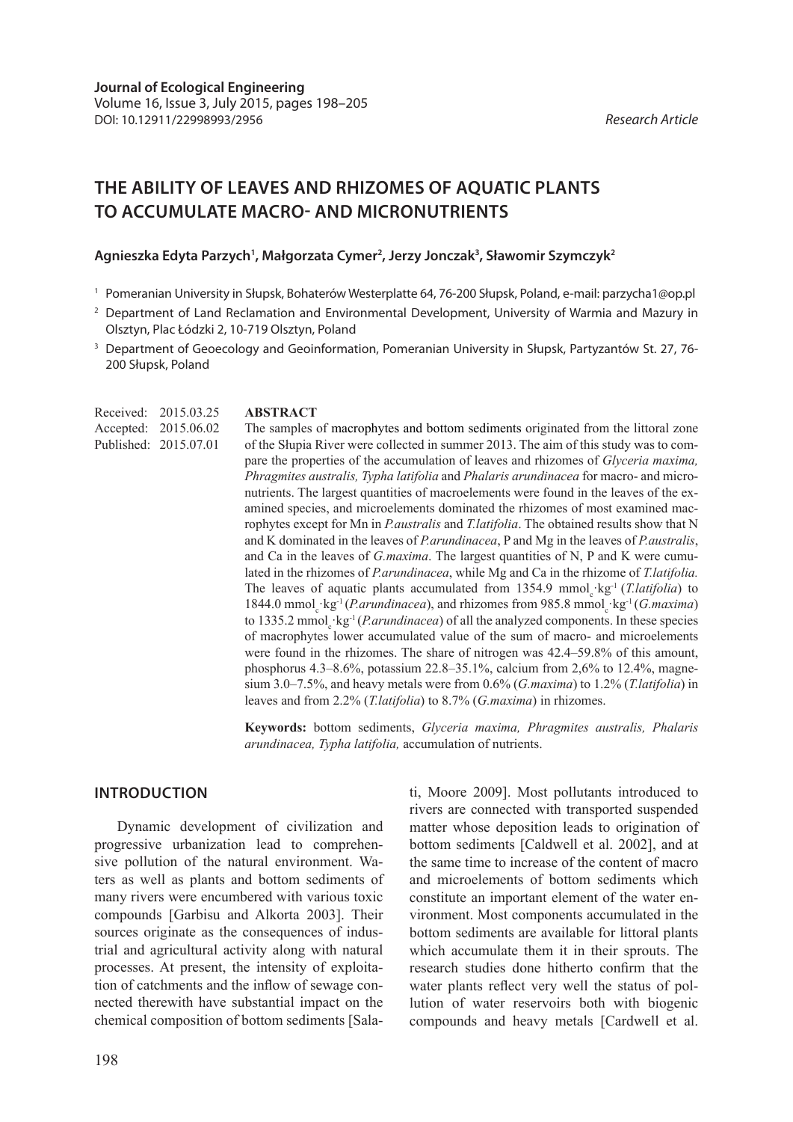# **THE ABILITY OF LEAVES AND RHIZOMES OF AQUATIC PLANTS TO ACCUMULATE MACRO- AND MICRONUTRIENTS**

## Agnieszka Edyta Parzych<sup>1</sup>, Małgorzata Cymer<sup>2</sup>, Jerzy Jonczak<sup>3</sup>, Sławomir Szymczyk<sup>2</sup>

- <sup>1</sup> Pomeranian University in Słupsk, Bohaterów Westerplatte 64, 76-200 Słupsk, Poland, e-mail: parzycha1@op.pl
- <sup>2</sup> Department of Land Reclamation and Environmental Development, University of Warmia and Mazury in Olsztyn, Plac Łódzki 2, 10-719 Olsztyn, Poland
- <sup>3</sup> Department of Geoecology and Geoinformation, Pomeranian University in Słupsk, Partyzantów St. 27, 76-200 Słupsk, Poland

Received: 2015.03.25 Accepted: 2015.06.02 Published: 2015.07.01

## **ABSTRACT**

The samples of macrophytes and bottom sediments originated from the littoral zone of the Słupia River were collected in summer 2013. The aim of this study was to compare the properties of the accumulation of leaves and rhizomes of *Glyceria maxima, Phragmites australis, Typha latifolia* and *Phalaris arundinacea* for macro- and micronutrients. The largest quantities of macroelements were found in the leaves of the examined species, and microelements dominated the rhizomes of most examined macrophytes except for Mn in *P.australis* and *T.latifolia*. The obtained results show that N and K dominated in the leaves of *P.arundinacea*, P and Mg in the leaves of *P.australis*, and Ca in the leaves of *G.maxima*. The largest quantities of N, P and K were cumulated in the rhizomes of *P.arundinacea*, while Mg and Ca in the rhizome of *T.latifolia.*  The leaves of aquatic plants accumulated from  $1354.9 \text{ mmol}_c \text{ kg}^{-1}$  (*T.latifolia*) to 1844.0 mmol<sub>c</sub> kg<sup>-1</sup> (*P.arundinacea*), and rhizomes from 985.8 mmol<sub>c</sub> kg<sup>-1</sup> (*G.maxima*) to 1335.2 mmol<sub>c</sub>·kg<sup>-1</sup> (*P.arundinacea*) of all the analyzed components. In these species of macrophytes lower accumulated value of the sum of macro- and microelements were found in the rhizomes. The share of nitrogen was 42.4–59.8% of this amount, phosphorus 4.3–8.6%, potassium 22.8–35.1%, calcium from 2,6% to 12.4%, magnesium 3.0–7.5%, and heavy metals were from 0.6% (*G.maxima*) to 1.2% (*T.latifolia*) in leaves and from 2.2% (*T.latifolia*) to 8.7% (*G.maxima*) in rhizomes.

**Keywords:** bottom sediments, *Glyceria maxima, Phragmites australis, Phalaris arundinacea, Typha latifolia,* accumulation of nutrients.

## **INTRODUCTION**

Dynamic development of civilization and progressive urbanization lead to comprehensive pollution of the natural environment. Waters as well as plants and bottom sediments of many rivers were encumbered with various toxic compounds [Garbisu and Alkorta 2003]. Their sources originate as the consequences of industrial and agricultural activity along with natural processes. At present, the intensity of exploitation of catchments and the inflow of sewage connected therewith have substantial impact on the chemical composition of bottom sediments [Sala-

198

ti, Moore 2009]. Most pollutants introduced to rivers are connected with transported suspended matter whose deposition leads to origination of bottom sediments [Caldwell et al. 2002], and at the same time to increase of the content of macro and microelements of bottom sediments which constitute an important element of the water environment. Most components accumulated in the bottom sediments are available for littoral plants which accumulate them it in their sprouts. The research studies done hitherto confirm that the water plants reflect very well the status of pollution of water reservoirs both with biogenic compounds and heavy metals [Cardwell et al.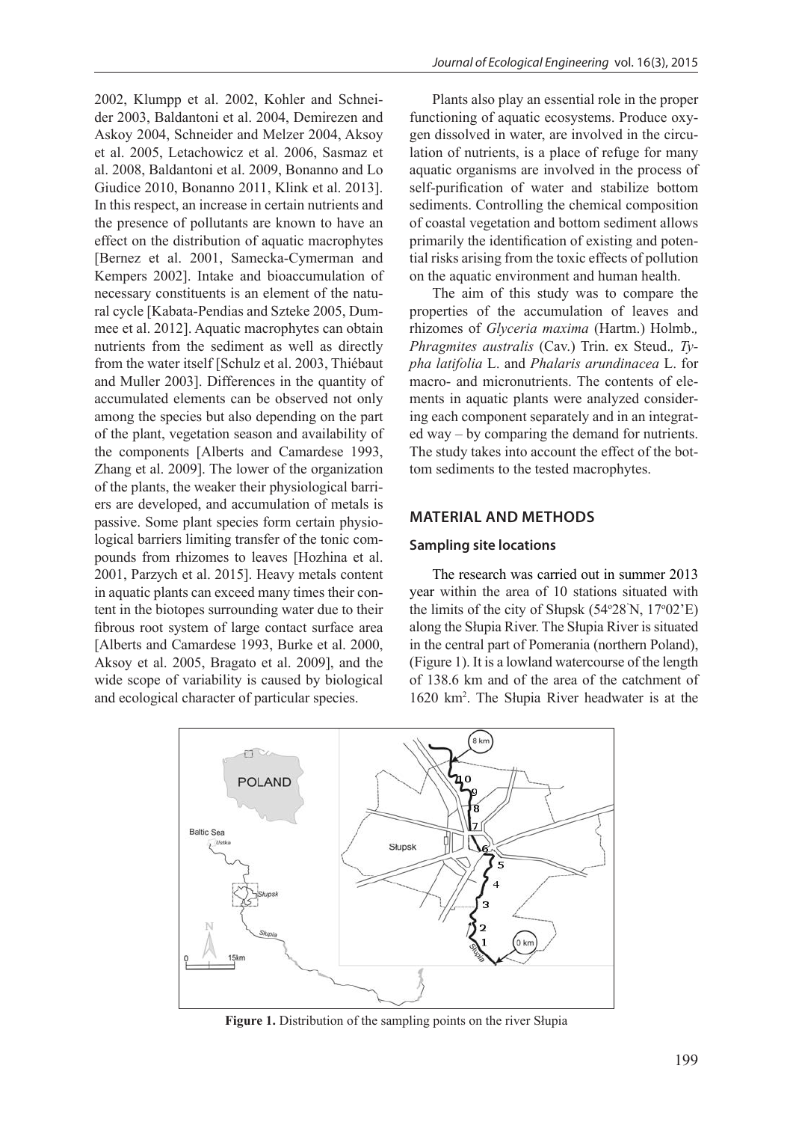2002, Klumpp et al. 2002, Kohler and Schneider 2003, Baldantoni et al. 2004, Demirezen and Askoy 2004, Schneider and Melzer 2004, Aksoy et al. 2005, Letachowicz et al. 2006, Sasmaz et al. 2008, Baldantoni et al. 2009, Bonanno and Lo Giudice 2010, Bonanno 2011, Klink et al. 2013]. In this respect, an increase in certain nutrients and the presence of pollutants are known to have an effect on the distribution of aquatic macrophytes [Bernez et al. 2001, Samecka-Cymerman and Kempers 2002]. Intake and bioaccumulation of necessary constituents is an element of the natural cycle [Kabata-Pendias and Szteke 2005, Dummee et al. 2012]. Aquatic macrophytes can obtain nutrients from the sediment as well as directly from the water itself [Schulz et al. 2003, Thiébaut and Muller 2003]. Differences in the quantity of accumulated elements can be observed not only among the species but also depending on the part of the plant, vegetation season and availability of the components [Alberts and Camardese 1993, Zhang et al. 2009]. The lower of the organization of the plants, the weaker their physiological barriers are developed, and accumulation of metals is passive. Some plant species form certain physiological barriers limiting transfer of the tonic compounds from rhizomes to leaves [Hozhina et al. 2001, Parzych et al. 2015]. Heavy metals content in aquatic plants can exceed many times their content in the biotopes surrounding water due to their fibrous root system of large contact surface area [Alberts and Camardese 1993, Burke et al. 2000, Aksoy et al. 2005, Bragato et al. 2009], and the wide scope of variability is caused by biological and ecological character of particular species.

Plants also play an essential role in the proper functioning of aquatic ecosystems. Produce oxygen dissolved in water, are involved in the circulation of nutrients, is a place of refuge for many aquatic organisms are involved in the process of self-purification of water and stabilize bottom sediments. Controlling the chemical composition of coastal vegetation and bottom sediment allows primarily the identification of existing and potential risks arising from the toxic effects of pollution on the aquatic environment and human health.

The aim of this study was to compare the properties of the accumulation of leaves and rhizomes of *Glyceria maxima* (Hartm.) Holmb.*, Phragmites australis* (Cav.) Trin. ex Steud.*, Typha latifolia* L. and *Phalaris arundinacea* L. for macro- and micronutrients. The contents of elements in aquatic plants were analyzed considering each component separately and in an integrated way – by comparing the demand for nutrients. The study takes into account the effect of the bottom sediments to the tested macrophytes.

## **MATERIAL AND METHODS**

#### **Sampling site locations**

The research was carried out in summer 2013 year within the area of 10 stations situated with the limits of the city of Słupsk  $(54°28'N, 17°02'E)$ along the Słupia River. The Słupia River is situated in the central part of Pomerania (northern Poland), (Figure 1). It is a lowland watercourse of the length of 138.6 km and of the area of the catchment of 1620 km2 . The Słupia River headwater is at the



**Figure 1.** Distribution of the sampling points on the river Słupia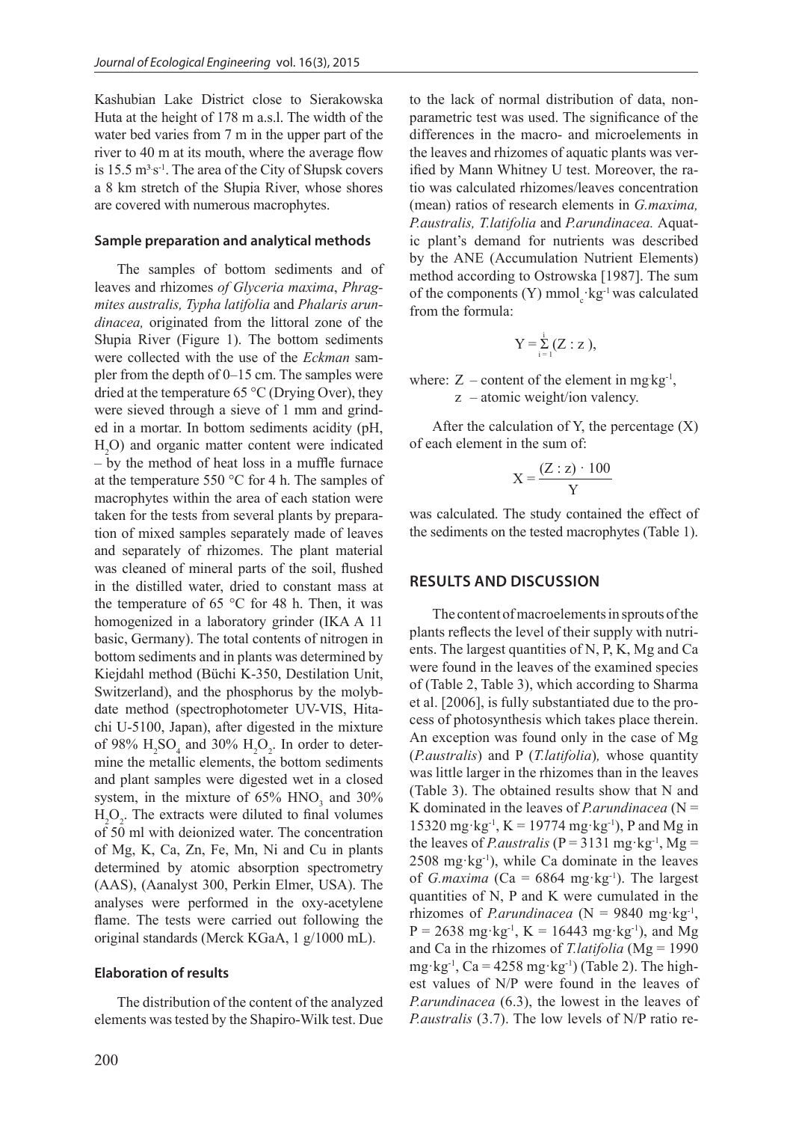Kashubian Lake District close to Sierakowska Huta at the height of 178 m a.s.l. The width of the water bed varies from 7 m in the upper part of the river to 40 m at its mouth, where the average flow is  $15.5 \text{ m}^3 \text{s}^{-1}$ . The area of the City of Słupsk covers a 8 km stretch of the Słupia River, whose shores are covered with numerous macrophytes.

#### **Sample preparation and analytical methods**

The samples of bottom sediments and of leaves and rhizomes *of Glyceria maxima*, *Phragmites australis, Typha latifolia* and *Phalaris arundinacea,* originated from the littoral zone of the Słupia River (Figure 1). The bottom sediments were collected with the use of the *Eckman* sampler from the depth of 0–15 cm. The samples were dried at the temperature 65 °C (Drying Over), they were sieved through a sieve of 1 mm and grinded in a mortar. In bottom sediments acidity (pH, H2 O) and organic matter content were indicated – by the method of heat loss in a muffle furnace at the temperature 550 °C for 4 h. The samples of macrophytes within the area of each station were taken for the tests from several plants by preparation of mixed samples separately made of leaves and separately of rhizomes. The plant material was cleaned of mineral parts of the soil, flushed in the distilled water, dried to constant mass at the temperature of 65 °C for 48 h. Then, it was homogenized in a laboratory grinder (IKA A 11 basic, Germany). The total contents of nitrogen in bottom sediments and in plants was determined by Kiejdahl method (Büchi K-350, Destilation Unit, Switzerland), and the phosphorus by the molybdate method (spectrophotometer UV-VIS, Hitachi U-5100, Japan), after digested in the mixture of 98%  $H_2SO_4$  and 30%  $H_2O_2$ . In order to determine the metallic elements, the bottom sediments and plant samples were digested wet in a closed system, in the mixture of  $65\%$  HNO<sub>3</sub> and  $30\%$  $H_2O_2$ . The extracts were diluted to final volumes of 50 ml with deionized water. The concentration of Mg, K, Ca, Zn, Fe, Mn, Ni and Cu in plants determined by atomic absorption spectrometry (AAS), (Aanalyst 300, Perkin Elmer, USA). The analyses were performed in the oxy-acetylene flame. The tests were carried out following the original standards (Merck KGaA, 1 g/1000 mL).

#### **Elaboration of results**

The distribution of the content of the analyzed elements was tested by the Shapiro-Wilk test. Due to the lack of normal distribution of data, nonparametric test was used. The significance of the differences in the macro- and microelements in the leaves and rhizomes of aquatic plants was verified by Mann Whitney U test. Moreover, the ratio was calculated rhizomes/leaves concentration (mean) ratios of research elements in *G.maxima, P.australis, T.latifolia* and *P.arundinacea.* Aquatic plant's demand for nutrients was described by the ANE (Accumulation Nutrient Elements) method according to Ostrowska [1987]. The sum of the components (Y) mmol<sub>c</sub> $\text{kg}$ <sup>-1</sup> was calculated from the formula:

$$
Y=\sum_{i=1}^i (Z:z),
$$

where:  $Z$  – content of the element in mg kg<sup>-1</sup>, z – atomic weight/ion valency.

After the calculation of Y, the percentage  $(X)$ of each element in the sum of:

$$
X = \frac{(Z:z) \cdot 100}{Y}
$$

was calculated. The study contained the effect of the sediments on the tested macrophytes (Table 1).

## **RESULTS AND DISCUSSION**

The content of macroelements in sprouts of the plants reflects the level of their supply with nutrients. The largest quantities of N, P, K, Mg and Ca were found in the leaves of the examined species of (Table 2, Table 3), which according to Sharma et al. [2006], is fully substantiated due to the process of photosynthesis which takes place therein. An exception was found only in the case of Mg (*P.australis*) and P (*T.latifolia*)*,* whose quantity was little larger in the rhizomes than in the leaves (Table 3). The obtained results show that N and K dominated in the leaves of *P.arundinacea* ( $N =$ 15320 mg·kg<sup>-1</sup>, K = 19774 mg·kg<sup>-1</sup>), P and Mg in the leaves of *P.australis* ( $P = 3131$  mg·kg<sup>-1</sup>, Mg =  $2508 \text{ mg} \cdot \text{kg}^{-1}$ ), while Ca dominate in the leaves of *G.maxima* (Ca =  $6864$  mg·kg<sup>-1</sup>). The largest quantities of N, P and K were cumulated in the rhizomes of *P.arundinacea* ( $N = 9840$  mg·kg<sup>-1</sup>,  $P = 2638$  mg·kg<sup>-1</sup>, K = 16443 mg·kg<sup>-1</sup>), and Mg and Ca in the rhizomes of *T.latifolia* (Mg = 1990 mg·kg<sup>-1</sup>, Ca = 4258 mg·kg<sup>-1</sup>) (Table 2). The highest values of N/P were found in the leaves of *P.arundinacea* (6.3), the lowest in the leaves of *P.australis* (3.7). The low levels of N/P ratio re-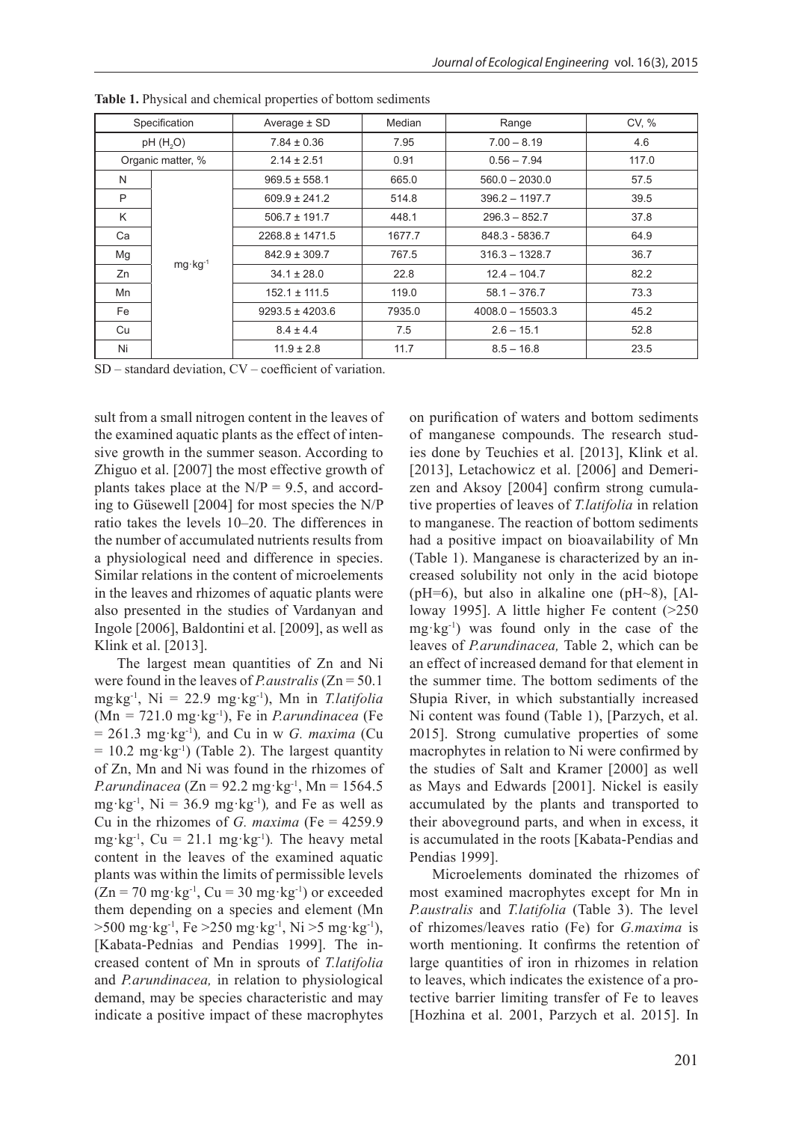| Specification     |                    | Average $\pm$ SD                              | Median<br>Range |                    | CV, % |
|-------------------|--------------------|-----------------------------------------------|-----------------|--------------------|-------|
| pH(H, O)          |                    | $7.84 \pm 0.36$                               | 7.95            | $7.00 - 8.19$      | 4.6   |
| Organic matter, % |                    | $2.14 \pm 2.51$                               | 0.91            | $0.56 - 7.94$      | 117.0 |
| N                 |                    | $969.5 \pm 558.1$                             | 665.0           | $560.0 - 2030.0$   | 57.5  |
| P                 |                    | $609.9 \pm 241.2$                             | 514.8           | $396.2 - 1197.7$   | 39.5  |
| K                 |                    | $506.7 \pm 191.7$<br>448.1<br>$296.3 - 852.7$ |                 | 37.8               |       |
| Ca                | $mg \cdot kg^{-1}$ | $2268.8 \pm 1471.5$                           | 1677.7          | 848.3 - 5836.7     | 64.9  |
| Mg                |                    | $842.9 \pm 309.7$                             | 767.5           | $316.3 - 1328.7$   | 36.7  |
| Zn                |                    | $34.1 \pm 28.0$                               | 22.8            | $12.4 - 104.7$     | 82.2  |
| Mn                |                    | $152.1 \pm 111.5$<br>119.0                    |                 | $58.1 - 376.7$     | 73.3  |
| Fe                |                    | $9293.5 \pm 4203.6$<br>7935.0                 |                 | $4008.0 - 15503.3$ | 45.2  |
| Cu                |                    | $8.4 \pm 4.4$<br>7.5                          |                 | $2.6 - 15.1$       | 52.8  |
| Ni                |                    | $11.9 \pm 2.8$                                | 11.7            | $8.5 - 16.8$       | 23.5  |

**Table 1.** Physical and chemical properties of bottom sediments

SD – standard deviation, CV – coefficient of variation.

sult from a small nitrogen content in the leaves of the examined aquatic plants as the effect of intensive growth in the summer season. According to Zhiguo et al. [2007] the most effective growth of plants takes place at the  $N/P = 9.5$ , and according to Güsewell [2004] for most species the N/P ratio takes the levels 10–20. The differences in the number of accumulated nutrients results from a physiological need and difference in species. Similar relations in the content of microelements in the leaves and rhizomes of aquatic plants were also presented in the studies of Vardanyan and Ingole [2006], Baldontini et al. [2009], as well as Klink et al. [2013].

The largest mean quantities of Zn and Ni were found in the leaves of *P.australis* (Zn = 50.1 mg. kg-1, Ni = 22.9 mg·kg-1), Mn in *T.latifolia*  (Mn *=* 721.0 mg·kg-1), Fe in *P.arundinacea* (Fe = 261.3 mg·kg-1)*,* and Cu in w *G. maxima* (Cu  $= 10.2$  mg·kg<sup>-1</sup>) (Table 2). The largest quantity of Zn, Mn and Ni was found in the rhizomes of *P.arundinacea* ( $Zn = 92.2$  mg·kg<sup>-1</sup>,  $Mn = 1564.5$ mg·kg<sup>-1</sup>,  $Ni = 36.9$  mg·kg<sup>-1</sup>), and Fe as well as Cu in the rhizomes of *G. maxima* (Fe = 4259.9 mg·kg<sup>-1</sup>, Cu = 21.1 mg·kg<sup>-1</sup>). The heavy metal content in the leaves of the examined aquatic plants was within the limits of permissible levels  $(Zn = 70$  mg·kg<sup>-1</sup>,  $Cu = 30$  mg·kg<sup>-1</sup>) or exceeded them depending on a species and element (Mn  $>500$  mg·kg<sup>-1</sup>, Fe  $>250$  mg·kg<sup>-1</sup>, Ni  $>5$  mg·kg<sup>-1</sup>), [Kabata-Pednias and Pendias 1999]. The increased content of Mn in sprouts of *T.latifolia*  and *P.arundinacea,* in relation to physiological demand, may be species characteristic and may indicate a positive impact of these macrophytes

on purification of waters and bottom sediments of manganese compounds. The research studies done by Teuchies et al. [2013], Klink et al. [2013], Letachowicz et al. [2006] and Demerizen and Aksoy [2004] confirm strong cumulative properties of leaves of *T.latifolia* in relation to manganese. The reaction of bottom sediments had a positive impact on bioavailability of Mn (Table 1). Manganese is characterized by an increased solubility not only in the acid biotope ( $pH=6$ ), but also in alkaline one ( $pH\sim8$ ), [Alloway 1995]. A little higher Fe content (>250 mg·kg-1) was found only in the case of the leaves of *P.arundinacea,* Table 2, which can be an effect of increased demand for that element in the summer time. The bottom sediments of the Słupia River, in which substantially increased Ni content was found (Table 1), [Parzych, et al. 2015]. Strong cumulative properties of some macrophytes in relation to Ni were confirmed by the studies of Salt and Kramer [2000] as well as Mays and Edwards [2001]. Nickel is easily accumulated by the plants and transported to their aboveground parts, and when in excess, it is accumulated in the roots [Kabata-Pendias and Pendias 1999].

Microelements dominated the rhizomes of most examined macrophytes except for Mn in *P.australis* and *T.latifolia* (Table 3). The level of rhizomes/leaves ratio (Fe) for *G.maxima* is worth mentioning. It confirms the retention of large quantities of iron in rhizomes in relation to leaves, which indicates the existence of a protective barrier limiting transfer of Fe to leaves [Hozhina et al. 2001, Parzych et al. 2015]. In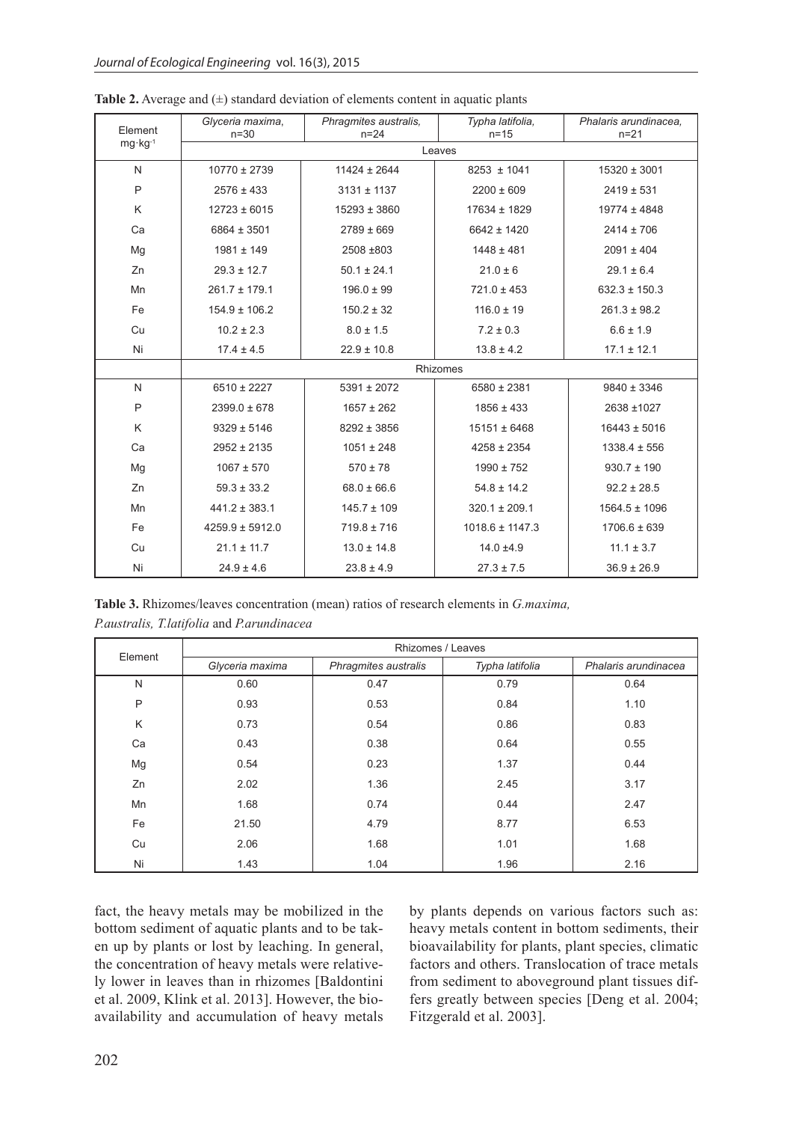| Element            | Glyceria maxima,<br>$n=30$ | Phragmites australis,<br>$n = 24$ | Typha latifolia,<br>$n = 15$ | Phalaris arundinacea.<br>$n = 21$ |  |  |  |  |  |
|--------------------|----------------------------|-----------------------------------|------------------------------|-----------------------------------|--|--|--|--|--|
| $mg \cdot kg^{-1}$ | Leaves                     |                                   |                              |                                   |  |  |  |  |  |
| N                  | $10770 \pm 2739$           | $11424 \pm 2644$                  | $8253 \pm 1041$              | $15320 \pm 3001$                  |  |  |  |  |  |
| P                  | $2576 \pm 433$             | $3131 \pm 1137$                   | $2200 \pm 609$               | $2419 \pm 531$                    |  |  |  |  |  |
| Κ                  | $12723 \pm 6015$           | $15293 \pm 3860$                  | 17634 ± 1829                 | $19774 \pm 4848$                  |  |  |  |  |  |
| Ca                 | 6864 ± 3501                | $2789 \pm 669$                    | 6642 ± 1420                  | $2414 \pm 706$                    |  |  |  |  |  |
| Mg                 | $1981 \pm 149$             | 2508 ±803                         | $1448 \pm 481$               | $2091 \pm 404$                    |  |  |  |  |  |
| Zn                 | $29.3 \pm 12.7$            | $50.1 \pm 24.1$                   | $21.0 \pm 6$                 | $29.1 \pm 6.4$                    |  |  |  |  |  |
| Mn                 | $261.7 \pm 179.1$          | $196.0 \pm 99$                    | $721.0 \pm 453$              | $632.3 \pm 150.3$                 |  |  |  |  |  |
| Fe                 | $154.9 \pm 106.2$          | $150.2 \pm 32$                    | $116.0 \pm 19$               | $261.3 \pm 98.2$                  |  |  |  |  |  |
| Cu                 | $10.2 \pm 2.3$             | $8.0 \pm 1.5$                     | $7.2 \pm 0.3$                | $6.6 \pm 1.9$                     |  |  |  |  |  |
| Ni                 | $17.4 \pm 4.5$             | $22.9 \pm 10.8$                   | $13.8 \pm 4.2$               | $17.1 \pm 12.1$                   |  |  |  |  |  |
|                    | Rhizomes                   |                                   |                              |                                   |  |  |  |  |  |
| N                  | $6510 \pm 2227$            | $5391 \pm 2072$                   | 6580 ± 2381                  | $9840 \pm 3346$                   |  |  |  |  |  |
| P                  | $2399.0 \pm 678$           | $1657 \pm 262$                    | $1856 \pm 433$               | 2638 ±1027                        |  |  |  |  |  |
| Κ                  | $9329 \pm 5146$            | $8292 \pm 3856$                   | $15151 \pm 6468$             | $16443 \pm 5016$                  |  |  |  |  |  |
| Ca                 | $2952 \pm 2135$            | $1051 \pm 248$                    | $4258 \pm 2354$              | $1338.4 \pm 556$                  |  |  |  |  |  |
| Mg                 | $1067 \pm 570$             | $570 \pm 78$                      | $1990 \pm 752$               | $930.7 \pm 190$                   |  |  |  |  |  |
| Zn                 | $59.3 \pm 33.2$            | $68.0 \pm 66.6$                   | $54.8 \pm 14.2$              | $92.2 \pm 28.5$                   |  |  |  |  |  |
| Mn                 | $441.2 \pm 383.1$          | $145.7 \pm 109$                   | $320.1 \pm 209.1$            | $1564.5 \pm 1096$                 |  |  |  |  |  |
| Fe                 | $4259.9 \pm 5912.0$        | $719.8 \pm 716$                   | $1018.6 \pm 1147.3$          | $1706.6 \pm 639$                  |  |  |  |  |  |
| Cu                 | $21.1 \pm 11.7$            | $13.0 \pm 14.8$                   | $14.0 \pm 4.9$               | $11.1 \pm 3.7$                    |  |  |  |  |  |
| Ni                 | $24.9 \pm 4.6$             | $23.8 \pm 4.9$                    | $27.3 \pm 7.5$               | $36.9 \pm 26.9$                   |  |  |  |  |  |

**Table 2.** Average and  $(±)$  standard deviation of elements content in aquatic plants

**Table 3.** Rhizomes/leaves concentration (mean) ratios of research elements in *G.maxima, P.australis, T.latifolia* and *P.arundinacea* 

| Element | Rhizomes / Leaves |                      |                 |                      |  |  |  |  |  |
|---------|-------------------|----------------------|-----------------|----------------------|--|--|--|--|--|
|         | Glyceria maxima   | Phragmites australis | Typha latifolia | Phalaris arundinacea |  |  |  |  |  |
| N       | 0.60              | 0.47                 | 0.79            | 0.64                 |  |  |  |  |  |
| P       | 0.93              | 0.53                 | 0.84            | 1.10                 |  |  |  |  |  |
| K       | 0.73              | 0.54                 | 0.86            | 0.83                 |  |  |  |  |  |
| Ca      | 0.43              | 0.38                 | 0.64            | 0.55                 |  |  |  |  |  |
| Mg      | 0.54              | 0.23                 | 1.37            | 0.44                 |  |  |  |  |  |
| Zn      | 2.02              | 1.36                 | 2.45            | 3.17                 |  |  |  |  |  |
| Mn      | 1.68              | 0.74                 | 0.44            | 2.47                 |  |  |  |  |  |
| Fe      | 21.50             | 4.79                 | 8.77            | 6.53                 |  |  |  |  |  |
| Cu      | 2.06              | 1.68                 | 1.01            | 1.68                 |  |  |  |  |  |
| Ni      | 1.43              | 1.04                 | 1.96            | 2.16                 |  |  |  |  |  |

fact, the heavy metals may be mobilized in the bottom sediment of aquatic plants and to be taken up by plants or lost by leaching. In general, the concentration of heavy metals were relatively lower in leaves than in rhizomes [Baldontini et al. 2009, Klink et al. 2013]. However, the bioavailability and accumulation of heavy metals

by plants depends on various factors such as: heavy metals content in bottom sediments, their bioavailability for plants, plant species, climatic factors and others. Translocation of trace metals from sediment to aboveground plant tissues differs greatly between species [Deng et al. 2004; Fitzgerald et al. 2003].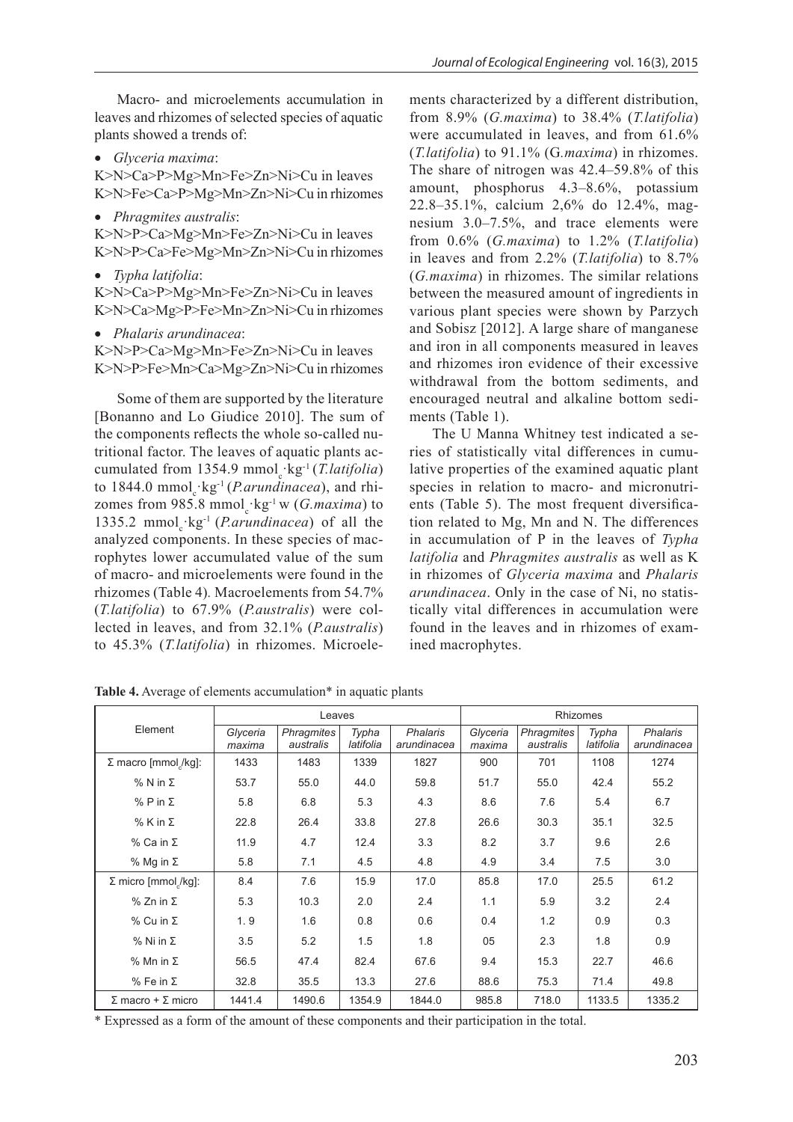Macro- and microelements accumulation in leaves and rhizomes of selected species of aquatic plants showed a trends of:

• *Glyceria maxima*:

K>N>Ca>P>Mg>Mn>Fe>Zn>Ni>Cu in leaves K>N>Fe>Ca>P>Mg>Mn>Zn>Ni>Cu in rhizomes

• *Phragmites australis*:

K>N>P>Ca>Mg>Mn>Fe>Zn>Ni>Cu in leaves K>N>P>Ca>Fe>Mg>Mn>Zn>Ni>Cu in rhizomes

- *Typha latifolia*: K>N>Ca>P>Mg>Mn>Fe>Zn>Ni>Cu in leaves K>N>Ca>Mg>P>Fe>Mn>Zn>Ni>Cu in rhizomes
- *Phalaris arundinacea*:

K>N>P>Ca>Mg>Mn>Fe>Zn>Ni>Cu in leaves K>N>P>Fe>Mn>Ca>Mg>Zn>Ni>Cu in rhizomes

Some of them are supported by the literature [Bonanno and Lo Giudice 2010]. The sum of the components reflects the whole so-called nutritional factor. The leaves of aquatic plants accumulated from 1354.9 mmol<sub>c</sub>·kg<sup>-1</sup> (*T.latifolia*) to 1844.0 mmol<sub>c</sub> kg<sup>-1</sup> (*P.arundinacea*), and rhizomes from 985.8 mmol<sub>c</sub> $\text{kg}$ <sup>-1</sup> w (*G.maxima*) to 1335.2 mmol<sub>c</sub> kg<sup>-1</sup> (*P.arundinacea*) of all the analyzed components. In these species of macrophytes lower accumulated value of the sum of macro- and microelements were found in the rhizomes (Table 4)*.* Macroelements from 54.7% (*T.latifolia*) to 67.9% (*P.australis*) were collected in leaves, and from 32.1% (*P.australis*) to 45.3% (*T.latifolia*) in rhizomes. Microele-

ments characterized by a different distribution, from 8.9% (*G.maxima*) to 38.4% (*T.latifolia*) were accumulated in leaves, and from 61.6% (*T.latifolia*) to 91.1% (G*.maxima*) in rhizomes. The share of nitrogen was 42.4–59.8% of this amount, phosphorus 4.3–8.6%, potassium 22.8–35.1%, calcium 2,6% do 12.4%, magnesium 3.0–7.5%, and trace elements were from 0.6% (*G.maxima*) to 1.2% (*T.latifolia*) in leaves and from 2.2% (*T.latifolia*) to 8.7% (*G.maxima*) in rhizomes. The similar relations between the measured amount of ingredients in various plant species were shown by Parzych and Sobisz [2012]. A large share of manganese and iron in all components measured in leaves and rhizomes iron evidence of their excessive withdrawal from the bottom sediments, and encouraged neutral and alkaline bottom sediments (Table 1).

The U Manna Whitney test indicated a series of statistically vital differences in cumulative properties of the examined aquatic plant species in relation to macro- and micronutrients (Table 5). The most frequent diversification related to Mg, Mn and N. The differences in accumulation of P in the leaves of *Typha latifolia* and *Phragmites australis* as well as K in rhizomes of *Glyceria maxima* and *Phalaris arundinacea*. Only in the case of Ni, no statistically vital differences in accumulation were found in the leaves and in rhizomes of examined macrophytes.

|                                             |                    | Leaves                         |                                                      | Rhizomes |                    |                         |                    |                                |  |
|---------------------------------------------|--------------------|--------------------------------|------------------------------------------------------|----------|--------------------|-------------------------|--------------------|--------------------------------|--|
| Element                                     | Glyceria<br>maxima | <b>Phragmites</b><br>australis | Typha<br><b>Phalaris</b><br>latifolia<br>arundinacea |          | Glyceria<br>maxima | Phragmites<br>australis | Typha<br>latifolia | <b>Phalaris</b><br>arundinacea |  |
| 1433<br>Σ macro [mmol /kg]:<br>1483<br>1339 |                    | 1827                           | 900                                                  | 701      | 1108               | 1274                    |                    |                                |  |
| $%$ N in $\Sigma$                           | 53.7               | 55.0                           | 44.0                                                 | 59.8     | 51.7               | 55.0                    | 42.4               | 55.2                           |  |
| % P in $Σ$                                  | 5.8                | 6.8                            | 5.3                                                  | 4.3      | 8.6                | 7.6                     | 5.4                | 6.7                            |  |
| $%$ K in $\Sigma$                           | 22.8               | 26.4                           | 33.8                                                 | 27.8     | 26.6               | 30.3                    | 35.1               | 32.5                           |  |
| % Ca in Σ                                   | 11.9               | 4.7                            | 12.4                                                 | 3.3      | 8.2                | 3.7                     | 9.6                | 2.6                            |  |
| % Mg in $\Sigma$                            | 5.8                | 7.1                            | 4.5                                                  | 4.8      | 4.9                | 3.4                     | 7.5                | 3.0                            |  |
| $\Sigma$ micro [mmol/kg]:                   | 8.4                | 7.6                            | 15.9                                                 | 17.0     | 85.8               | 17.0                    | 25.5               | 61.2                           |  |
| $%$ Zn in $\Sigma$                          | 5.3                | 10.3                           | 2.0                                                  | 2.4      | 1.1                | 5.9                     | 3.2                | 2.4                            |  |
| $%$ Cu in $\Sigma$                          | 1.9                | 1.6                            | 0.8                                                  | 0.6      | 0.4                | 1.2                     | 0.9                | 0.3                            |  |
| % Ni in $Σ$                                 | 3.5                | 5.2                            | 1.5                                                  | 1.8      | 05                 | 2.3                     | 1.8                | 0.9                            |  |
| % Mn in Σ                                   | 56.5               | 47.4                           | 82.4                                                 | 67.6     | 9.4                | 15.3                    | 22.7               | 46.6                           |  |
| $%$ Fe in $\Sigma$                          | 32.8               | 35.5                           | 13.3                                                 | 27.6     | 88.6               | 75.3                    | 71.4               | 49.8                           |  |
| $\Sigma$ macro + $\Sigma$ micro             | 1441.4             | 1490.6                         | 1354.9                                               | 1844.0   | 985.8              | 718.0                   | 1133.5             | 1335.2                         |  |

Table 4. Average of elements accumulation<sup>\*</sup> in aquatic plants

\* Expressed as a form of the amount of these components and their participation in the total.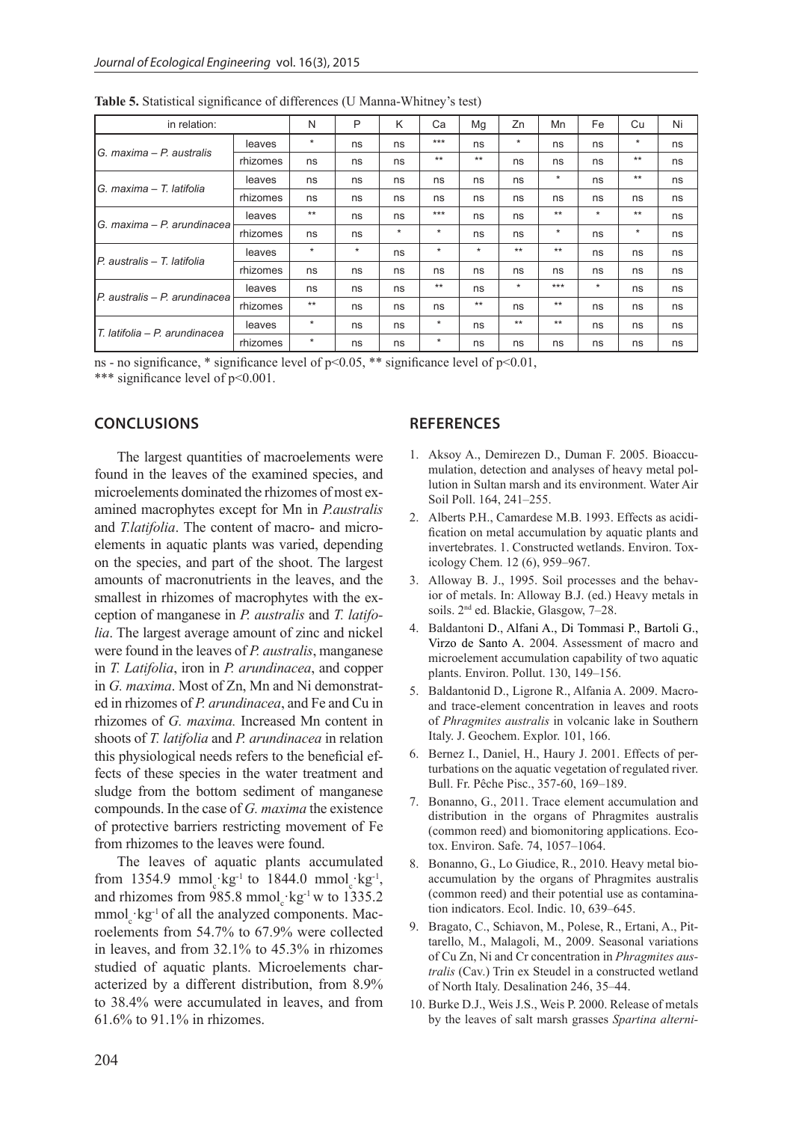| in relation:                   |          | N        | P       | K       | Ca      | Mg      | Zn      | Mn      | Fe      | Cu       | Ni |
|--------------------------------|----------|----------|---------|---------|---------|---------|---------|---------|---------|----------|----|
| IG. maxima – P. australis      | leaves   | $\star$  | ns      | ns      | $***$   | ns      | $\star$ | ns      | ns      | $^\star$ | ns |
|                                | rhizomes | ns       | ns      | ns      | $***$   | $**$    | ns      | ns      | ns      | $***$    | ns |
| IG. maxima – T. latifolia      | leaves   | ns       | ns      | ns      | ns      | ns      | ns      | $\star$ | ns      | $***$    | ns |
|                                | rhizomes | ns       | ns      | ns      | ns      | ns      | ns      | ns      | ns      | ns       | ns |
| IG. maxima – P. arundinacea    | leaves   | $***$    | ns      | ns      | $***$   | ns      | ns      | $***$   | $\star$ | $***$    | ns |
|                                | rhizomes | ns       | ns      | $\star$ | $\star$ | ns      | ns      | $\star$ | ns      | $^\star$ | ns |
| IP. australis – T. latifolia   | leaves   | $^\star$ | $\star$ | ns      | $\star$ | $\star$ | $***$   | $***$   | ns      | ns       | ns |
|                                | rhizomes | ns       | ns      | ns      | ns      | ns      | ns      | ns      | ns      | ns       | ns |
| IP. australis – P. arundinacea | leaves   | ns       | ns      | ns      | $***$   | ns      | $\star$ | $***$   | $\ast$  | ns       | ns |
|                                | rhizomes | $***$    | ns      | ns      | ns      | $***$   | ns      | $***$   | ns      | ns       | ns |
| T. latifolia - P. arundinacea  | leaves   | $^\star$ | ns      | ns      | $\star$ | ns      | $***$   | $***$   | ns      | ns       | ns |
|                                | rhizomes | $^\star$ | ns      | ns      | $\star$ | ns      | ns      | ns      | ns      | ns       | ns |

**Table 5.** Statistical significance of differences (U Manna-Whitney's test)

ns - no significance, \* significance level of  $p<0.05$ , \*\* significance level of  $p<0.01$ , \*\*\* significance level of  $p<0.001$ .

## **CONCLUSIONS**

The largest quantities of macroelements were found in the leaves of the examined species, and microelements dominated the rhizomes of most examined macrophytes except for Mn in *P.australis* and *T.latifolia*. The content of macro- and microelements in aquatic plants was varied, depending on the species, and part of the shoot. The largest amounts of macronutrients in the leaves, and the smallest in rhizomes of macrophytes with the exception of manganese in *P. australis* and *T. latifolia*. The largest average amount of zinc and nickel were found in the leaves of *P. australis*, manganese in *T. Latifolia*, iron in *P. arundinacea*, and copper in *G. maxima*. Most of Zn, Mn and Ni demonstrated in rhizomes of *P. arundinacea*, and Fe and Cu in rhizomes of *G. maxima.* Increased Mn content in shoots of *T. latifolia* and *P. arundinacea* in relation this physiological needs refers to the beneficial effects of these species in the water treatment and sludge from the bottom sediment of manganese compounds. In the case of *G. maxima* the existence of protective barriers restricting movement of Fe from rhizomes to the leaves were found.

The leaves of aquatic plants accumulated from 1354.9 mmol<sub>c</sub> $\text{kg}^{-1}$  to 1844.0 mmol<sub>c</sub> $\text{kg}^{-1}$ , and rhizomes from 985.8 mmol<sub>c</sub> $kg^{-1}$  w to 1335.2  $mmol_c$  kg<sup>-1</sup> of all the analyzed components. Macroelements from 54.7% to 67.9% were collected in leaves, and from 32.1% to 45.3% in rhizomes studied of aquatic plants. Microelements characterized by a different distribution, from 8.9% to 38.4% were accumulated in leaves, and from 61.6% to 91.1% in rhizomes.

# **REFERENCES**

- 1. Aksoy A., Demirezen D., Duman F. 2005. Bioaccumulation, detection and analyses of heavy metal pollution in Sultan marsh and its environment. Water Air Soil Poll. 164, 241–255.
- 2. Alberts P.H., Camardese M.B. 1993. Effects as acidification on metal accumulation by aquatic plants and invertebrates. 1. Constructed wetlands. Environ. Toxicology Chem. 12 (6), 959–967.
- 3. Alloway B. J., 1995. Soil processes and the behavior of metals. In: Alloway B.J. (ed.) Heavy metals in soils. 2nd ed. Blackie, Glasgow, 7–28.
- 4. Baldantoni D., Alfani A., Di Tommasi P., Bartoli G., Virzo de Santo A. 2004. Assessment of macro and microelement accumulation capability of two aquatic plants. Environ. Pollut. 130, 149–156.
- 5. Baldantonid D., Ligrone R., Alfania A. 2009. Macroand trace-element concentration in leaves and roots of *Phragmites australis* in volcanic lake in Southern Italy. J. Geochem. Explor. 101, 166.
- 6. Bernez I., Daniel, H., Haury J. 2001. Effects of perturbations on the aquatic vegetation of regulated river. Bull. Fr. Pêche Pisc., 357-60, 169–189.
- 7. Bonanno, G., 2011. Trace element accumulation and distribution in the organs of Phragmites australis (common reed) and biomonitoring applications. Ecotox. Environ. Safe. 74, 1057–1064.
- 8. Bonanno, G., Lo Giudice, R., 2010. Heavy metal bioaccumulation by the organs of Phragmites australis (common reed) and their potential use as contamination indicators. Ecol. Indic. 10, 639–645.
- 9. Bragato, C., Schiavon, M., Polese, R., Ertani, A., Pittarello, M., Malagoli, M., 2009. Seasonal variations of Cu Zn, Ni and Cr concentration in *Phragmites australis* (Cav.) Trin ex Steudel in a constructed wetland of North Italy. Desalination 246, 35–44.
- 10. Burke D.J., Weis J.S., Weis P. 2000. Release of metals by the leaves of salt marsh grasses *Spartina alterni-*